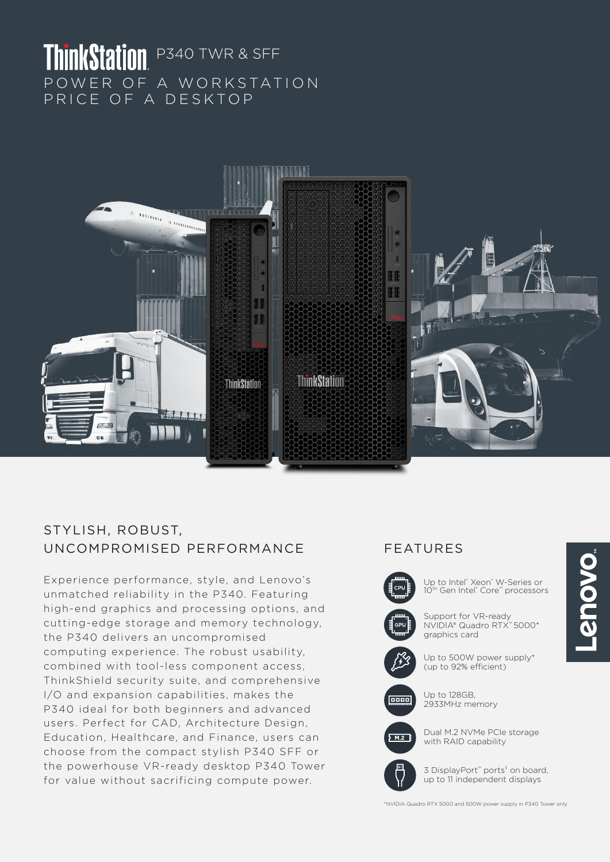# ThinkStation P340 TWR & SFF POWER OF A WORKSTATION PRICE OF A DESKTOP



## STYLISH, ROBUST, UNCOMPROMISED PERFORMANCE FEATURES

Experience performance, style, and Lenovo's unmatched reliability in the P340. Featuring high-end graphics and processing options, and cutting-edge storage and memory technology, the P340 delivers an uncompromised computing experience. The robust usability, combined with tool-less component access, ThinkShield security suite, and comprehensive I/O and expansion capabilities, makes the P340 ideal for both beginners and advanced users. Perfect for CAD, Architecture Design, Education, Healthcare, and Finance, users can choose from the compact stylish P340 SFF or the powerhouse VR-ready desktop P340 Tower for value without sacrificing compute power.



Up to Intel® Xeon® W-Series or 10<sup>th</sup> Gen Intel® Core™ processors

Support for VR-ready NVIDIA® Quadro RTX™ 5000\* graphics card



Up to 500W power supply\* (up to 92% efficient)



Up to 128GB, 2933MHz memory



Dual M.2 NVMe PCIe storage with RAID capability



3 DisplayPort<sup>™</sup> ports<sup>1</sup> on board, up to 11 independent displays

\*NVIDIA Quadro RTX 5000 and 500W power supply in P340 Tower only